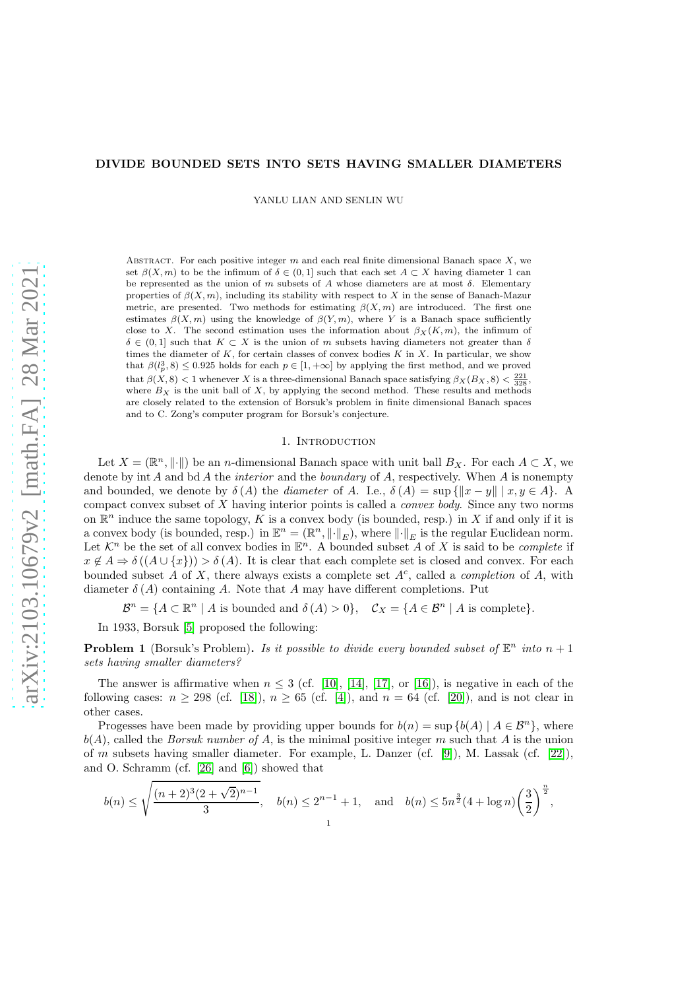### DIVIDE BOUNDED SETS INTO SETS HAVING SMALLER DIAMETERS

YANLU LIAN AND SENLIN WU

ABSTRACT. For each positive integer  $m$  and each real finite dimensional Banach space  $X$ , we set  $\beta(X,m)$  to be the infimum of  $\delta \in (0,1]$  such that each set  $A \subset X$  having diameter 1 can be represented as the union of m subsets of A whose diameters are at most  $\delta$ . Elementary properties of  $\beta(X, m)$ , including its stability with respect to X in the sense of Banach-Mazur metric, are presented. Two methods for estimating  $\beta(X,m)$  are introduced. The first one estimates  $\beta(X,m)$  using the knowledge of  $\beta(Y,m)$ , where Y is a Banach space sufficiently close to X. The second estimation uses the information about  $\beta_X(K, m)$ , the infimum of  $\delta \in (0,1]$  such that  $K \subset X$  is the union of m subsets having diameters not greater than  $\delta$ times the diameter of  $K$ , for certain classes of convex bodies  $K$  in  $X$ . In particular, we show that  $\beta(l_p^3, 8) \leq 0.925$  holds for each  $p \in [1, +\infty]$  by applying the first method, and we proved that  $\beta(X,8)$  < 1 whenever X is a three-dimensional Banach space satisfying  $\beta_X(B_X,8)$  <  $\frac{221}{328}$ , where  $B_X$  is the unit ball of X, by applying the second method. These results and methods are closely related to the extension of Borsuk's problem in finite dimensional Banach spaces and to C. Zong's computer program for Borsuk's conjecture.

### 1. INTRODUCTION

Let  $X = (\mathbb{R}^n, ||\cdot||)$  be an *n*-dimensional Banach space with unit ball  $B_X$ . For each  $A \subset X$ , we denote by int A and bd A the *interior* and the *boundary* of A, respectively. When A is nonempty and bounded, we denote by  $\delta(A)$  the *diameter* of A. I.e.,  $\delta(A) = \sup\{||x - y|| \mid x, y \in A\}$ . A compact convex subset of X having interior points is called a *convex body*. Since any two norms on  $\mathbb{R}^n$  induce the same topology, K is a convex body (is bounded, resp.) in X if and only if it is a convex body (is bounded, resp.) in  $\mathbb{E}^n = (\mathbb{R}^n, \|\cdot\|_E)$ , where  $\|\cdot\|_E$  is the regular Euclidean norm. Let  $\mathcal{K}^n$  be the set of all convex bodies in  $\mathbb{E}^n$ . A bounded subset A of X is said to be *complete* if  $x \notin A \Rightarrow \delta((A \cup \{x\})) > \delta(A)$ . It is clear that each complete set is closed and convex. For each bounded subset  $A$  of  $X$ , there always exists a complete set  $A<sup>c</sup>$ , called a *completion* of  $A$ , with diameter  $\delta(A)$  containing A. Note that A may have different completions. Put

 $\mathcal{B}^n = \{A \subset \mathbb{R}^n \mid A \text{ is bounded and } \delta(A) > 0\}, \quad \mathcal{C}_X = \{A \in \mathcal{B}^n \mid A \text{ is complete}\}.$ 

In 1933, Borsuk [\[5\]](#page-9-0) proposed the following:

<span id="page-0-0"></span>**Problem 1** (Borsuk's Problem). *Is it possible to divide every bounded subset of*  $\mathbb{E}^n$  *into*  $n + 1$ *sets having smaller diameters?*

The answer is affirmative when  $n \leq 3$  (cf. [\[10\]](#page-9-1), [\[14\]](#page-9-2), [\[17\]](#page-9-3), or [\[16\]](#page-9-4)), is negative in each of the following cases:  $n \ge 298$  (cf. [\[18\]](#page-9-5)),  $n \ge 65$  (cf. [\[4\]](#page-9-6)), and  $n = 64$  (cf. [\[20\]](#page-10-0)), and is not clear in other cases.

Progesses have been made by providing upper bounds for  $b(n) = \sup \{b(A) | A \in \mathcal{B}^n\}$ , where  $b(A)$ , called the *Borsuk number of* A, is the minimal positive integer m such that A is the union of m subsets having smaller diameter. For example, L. Danzer (cf. [\[9\]](#page-9-7)), M. Lassak (cf. [\[22\]](#page-10-1)), and O. Schramm (cf. [\[26\]](#page-10-2) and [\[6\]](#page-9-8)) showed that

$$
b(n) \le \sqrt{\frac{(n+2)^3(2+\sqrt{2})^{n-1}}{3}}, \quad b(n) \le 2^{n-1}+1, \quad \text{and} \quad b(n) \le 5n^{\frac{3}{2}}(4+\log n)\left(\frac{3}{2}\right)^{\frac{n}{2}},
$$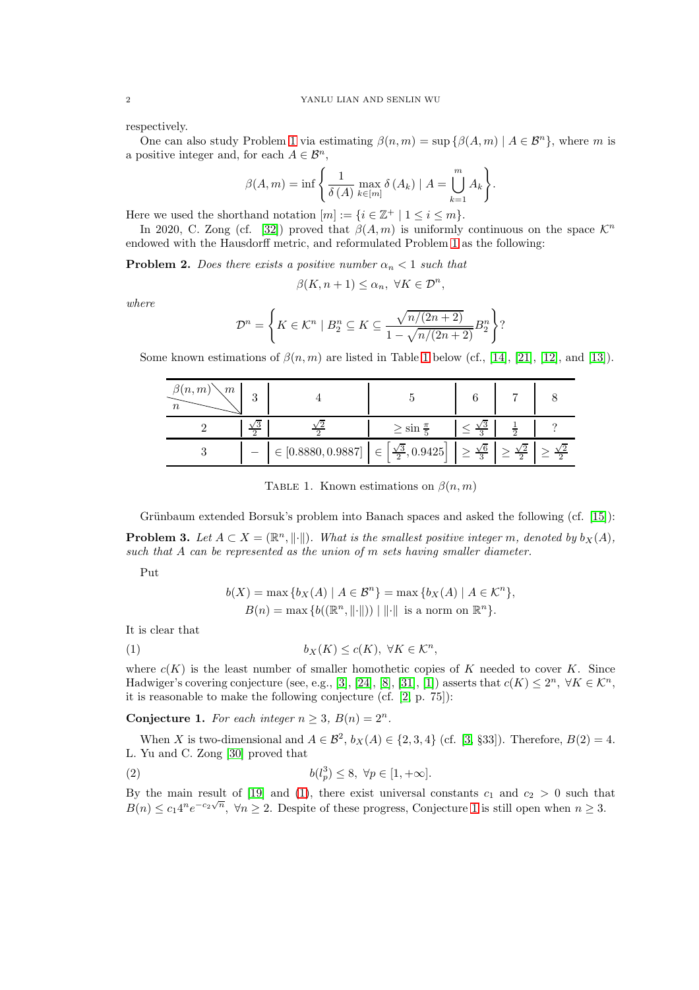respectively.

One can also study Problem [1](#page-0-0) via estimating  $\beta(n,m) = \sup \{\beta(A,m) | A \in \mathcal{B}^n\}$ , where m is a positive integer and, for each  $A \in \mathcal{B}^n$ ,

$$
\beta(A, m) = \inf \left\{ \frac{1}{\delta(A)} \max_{k \in [m]} \delta(A_k) \mid A = \bigcup_{k=1}^{m} A_k \right\}.
$$

Here we used the shorthand notation  $[m] := \{i \in \mathbb{Z}^+ \mid 1 \leq i \leq m\}.$ 

In 2020, C. Zong (cf. [\[32\]](#page-10-3)) proved that  $\beta(A,m)$  is uniformly continuous on the space  $\mathcal{K}^n$ endowed with the Hausdorff metric, and reformulated Problem [1](#page-0-0) as the following:

**Problem 2.** *Does there exists a positive number*  $\alpha_n < 1$  *such that* 

$$
\beta(K, n+1) \le \alpha_n, \ \forall K \in \mathcal{D}^n,
$$

*where*

$$
\mathcal{D}^n = \left\{ K \in \mathcal{K}^n \mid B_2^n \subseteq K \subseteq \frac{\sqrt{n/(2n+2)}}{1 - \sqrt{n/(2n+2)}} B_2^n \right\}?
$$

<span id="page-1-0"></span>Some known estimations of  $\beta(n, m)$  are listed in Table [1](#page-1-0) below (cf., [\[14\]](#page-9-2), [\[21\]](#page-10-4), [\[12\]](#page-9-9), and [\[13\]](#page-9-10)).

| $\beta(n,m)$<br>m |                                                                                                                                                                    |                            |                           |  |
|-------------------|--------------------------------------------------------------------------------------------------------------------------------------------------------------------|----------------------------|---------------------------|--|
|                   |                                                                                                                                                                    | $\geq$ sin $\frac{\pi}{5}$ | $\leq \frac{\sqrt{3}}{2}$ |  |
|                   | $-\left  \in \left[0.8880, 0.9887\right] \right  \in \left[\frac{\sqrt{3}}{2}, 0.9425\right] \ge \frac{\sqrt{6}}{3} \ge \frac{\sqrt{2}}{2} \ge \frac{\sqrt{2}}{2}$ |                            |                           |  |

TABLE 1. Known estimations on  $\beta(n, m)$ 

Grünbaum extended Borsuk's problem into Banach spaces and asked the following  $(cf. [15])$  $(cf. [15])$  $(cf. [15])$ : **Problem 3.** Let  $A \subset X = (\mathbb{R}^n, \|\cdot\|)$ . What is the smallest positive integer m, denoted by  $b_X(A)$ , *such that* A *can be represented as the union of* m *sets having smaller diameter.*

Put

<span id="page-1-1"></span>
$$
b(X) = \max \{ b_X(A) \mid A \in \mathcal{B}^n \} = \max \{ b_X(A) \mid A \in \mathcal{K}^n \},
$$
  
 
$$
B(n) = \max \{ b(\mathbb{R}^n, \| \cdot \|)) \mid \| \cdot \| \text{ is a norm on } \mathbb{R}^n \}.
$$

It is clear that

(1) 
$$
b_X(K) \le c(K), \ \forall K \in \mathcal{K}^n,
$$

where  $c(K)$  is the least number of smaller homothetic copies of K needed to cover K. Since Hadwiger's covering conjecture (see, e.g., [\[3\]](#page-9-12), [\[24\]](#page-10-5), [\[8\]](#page-9-13), [\[31\]](#page-10-6), [\[1\]](#page-9-14)) asserts that  $c(K) \leq 2^n$ ,  $\forall K \in \mathcal{K}^n$ , it is reasonable to make the following conjecture (cf. [\[2,](#page-9-15) p. 75]):

<span id="page-1-2"></span>**Conjecture 1.** For each integer  $n \geq 3$ ,  $B(n) = 2^n$ .

When X is two-dimensional and  $A \in \mathcal{B}^2$ ,  $b_X(A) \in \{2, 3, 4\}$  (cf. [\[3,](#page-9-12) §33]). Therefore,  $B(2) = 4$ . L. Yu and C. Zong [\[30\]](#page-10-7) proved that

<span id="page-1-3"></span>(2) 
$$
b(l_p^3) \le 8, \ \forall p \in [1, +\infty].
$$

By the main result of [\[19\]](#page-9-16) and [\(1\)](#page-1-1), there exist universal constants  $c_1$  and  $c_2 > 0$  such that  $B(n) \leq c_1 4^n e^{-c_2 \sqrt{n}}$ ,  $\forall n \geq 2$ . Despite of these progress, Conjecture [1](#page-1-2) is still open when  $n \geq 3$ .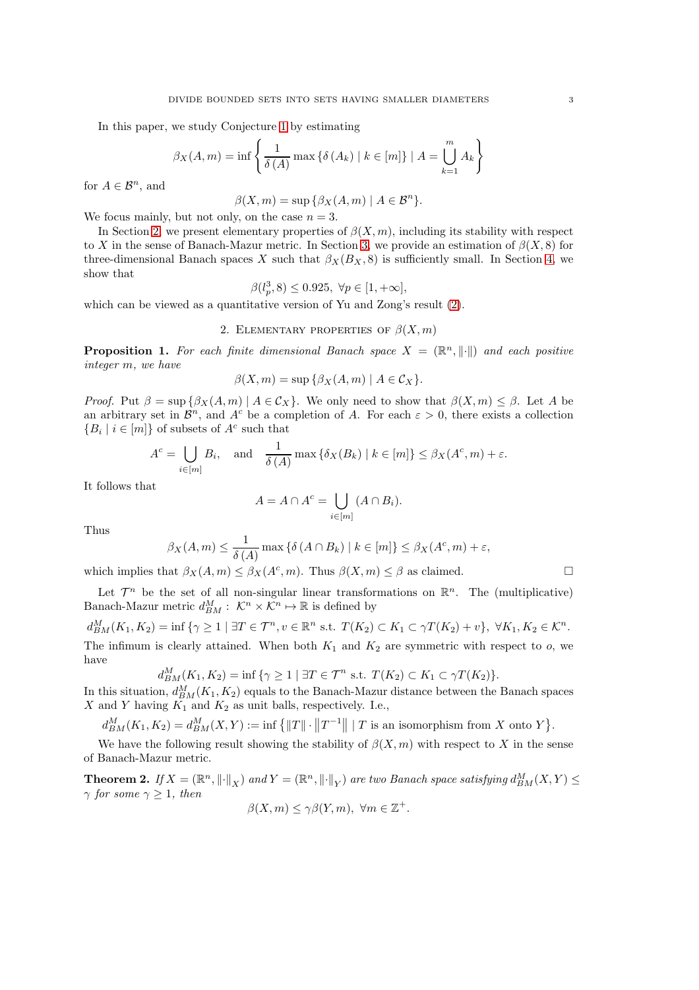In this paper, we study Conjecture [1](#page-1-2) by estimating

$$
\beta_X(A, m) = \inf \left\{ \frac{1}{\delta(A)} \max \{ \delta(A_k) \mid k \in [m] \} \mid A = \bigcup_{k=1}^m A_k \right\}
$$

for  $A \in \mathcal{B}^n$ , and

$$
\beta(X,m)=\sup\,\{\beta_X(A,m)\mid A\in\mathcal{B}^n\}.
$$

We focus mainly, but not only, on the case  $n = 3$ .

In Section [2,](#page-2-0) we present elementary properties of  $\beta(X,m)$ , including its stability with respect to X in the sense of Banach-Mazur metric. In Section [3,](#page-4-0) we provide an estimation of  $\beta(X,8)$  for three-dimensional Banach spaces X such that  $\beta_X(B_X, 8)$  is sufficiently small. In Section [4,](#page-7-0) we show that

$$
\beta(l_p^3, 8) \le 0.925, \ \forall p \in [1, +\infty],
$$

<span id="page-2-0"></span>which can be viewed as a quantitative version of Yu and Zong's result [\(2\)](#page-1-3).

## 2. ELEMENTARY PROPERTIES OF  $\beta(X,m)$

**Proposition 1.** For each finite dimensional Banach space  $X = (\mathbb{R}^n, ||\cdot||)$  and each positive *integer* m*, we have*

$$
\beta(X,m) = \sup \{ \beta_X(A,m) \mid A \in \mathcal{C}_X \}.
$$

*Proof.* Put  $\beta = \sup \{\beta_X(A,m) \mid A \in C_X\}$ . We only need to show that  $\beta(X,m) \leq \beta$ . Let A be an arbitrary set in  $\mathcal{B}^n$ , and  $A^c$  be a completion of A. For each  $\varepsilon > 0$ , there exists a collection  ${B_i \mid i \in [m]}$  of subsets of  $A^c$  such that

$$
A^c = \bigcup_{i \in [m]} B_i, \text{ and } \frac{1}{\delta(A)} \max \{ \delta_X(B_k) \mid k \in [m] \} \le \beta_X(A^c, m) + \varepsilon.
$$

It follows that

$$
A = A \cap A^c = \bigcup_{i \in [m]} (A \cap B_i).
$$

Thus

$$
\beta_X(A,m) \le \frac{1}{\delta(A)} \max \{ \delta(A \cap B_k) \mid k \in [m] \} \le \beta_X(A^c, m) + \varepsilon,
$$

which implies that  $\beta_X(A,m) \leq \beta_X(A^c,m)$ . Thus  $\beta(X,m) \leq \beta$  as claimed.

Let  $\mathcal{T}^n$  be the set of all non-singular linear transformations on  $\mathbb{R}^n$ . The (multiplicative) Banach-Mazur metric  $d_{BM}^M: \mathcal{K}^n \times \mathcal{K}^n \mapsto \mathbb{R}$  is defined by

 $d_{BM}^M(K_1, K_2) = \inf \{ \gamma \ge 1 \mid \exists T \in \mathcal{T}^n, v \in \mathbb{R}^n \text{ s.t. } T(K_2) \subset K_1 \subset \gamma T(K_2) + v \}, \ \forall K_1, K_2 \in \mathcal{K}^n.$ The infimum is clearly attained. When both  $K_1$  and  $K_2$  are symmetric with respect to  $o$ , we have

$$
d_{BM}^M(K_1, K_2) = \inf \{ \gamma \ge 1 \mid \exists T \in \mathcal{T}^n \text{ s.t. } T(K_2) \subset K_1 \subset \gamma T(K_2) \}.
$$

In this situation,  $d_{BM}^M(K_1, K_2)$  equals to the Banach-Mazur distance between the Banach spaces  $X$  and  $Y$  having  $\widetilde{K_1}$  and  $K_2$  as unit balls, respectively. I.e.,

 $d_{BM}^M(K_1, K_2) = d_{BM}^M(X, Y) := \inf \left\{ ||T|| \cdot ||T^{-1}|| \mid T \text{ is an isomorphism from } X \text{ onto } Y \right\}.$ 

We have the following result showing the stability of  $\beta(X,m)$  with respect to X in the sense of Banach-Mazur metric.

<span id="page-2-1"></span>**Theorem 2.** If  $X = (\mathbb{R}^n, \|\cdot\|_X)$  and  $Y = (\mathbb{R}^n, \|\cdot\|_Y)$  are two Banach space satisfying  $d_{BM}^M(X, Y) \le$  $\gamma$  *for some*  $\gamma \geq 1$ *, then* 

$$
\beta(X,m) \le \gamma \beta(Y,m), \ \forall m \in \mathbb{Z}^+.
$$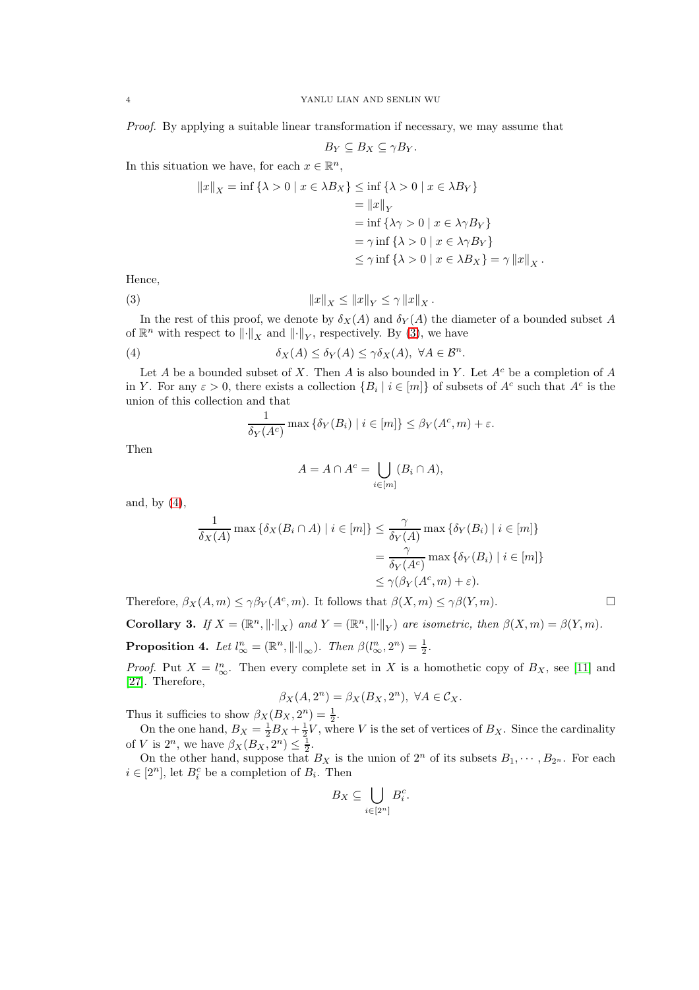*Proof.* By applying a suitable linear transformation if necessary, we may assume that

$$
B_Y \subseteq B_X \subseteq \gamma B_Y.
$$

In this situation we have, for each  $x \in \mathbb{R}^n$ ,

$$
||x||_X = \inf \{ \lambda > 0 \mid x \in \lambda B_X \} \le \inf \{ \lambda > 0 \mid x \in \lambda B_Y \}
$$
  
=  $||x||_Y$   
=  $\inf \{ \lambda \gamma > 0 \mid x \in \lambda \gamma B_Y \}$   
=  $\gamma \inf \{ \lambda > 0 \mid x \in \lambda \gamma B_Y \}$   
 $\le \gamma \inf \{ \lambda > 0 \mid x \in \lambda B_X \} = \gamma ||x||_X.$ 

Hence,

(3) 
$$
||x||_X \le ||x||_Y \le \gamma ||x||_X.
$$

In the rest of this proof, we denote by  $\delta_X(A)$  and  $\delta_Y(A)$  the diameter of a bounded subset A of  $\mathbb{R}^n$  with respect to  $\left\| \cdot \right\|_X$  and  $\left\| \cdot \right\|_Y$ , respectively. By [\(3\)](#page-3-0), we have

(4) 
$$
\delta_X(A) \leq \delta_Y(A) \leq \gamma \delta_X(A), \ \forall A \in \mathcal{B}^n.
$$

Let A be a bounded subset of X. Then A is also bounded in Y. Let  $A<sup>c</sup>$  be a completion of A in Y. For any  $\varepsilon > 0$ , there exists a collection  $\{B_i \mid i \in [m]\}$  of subsets of  $A^c$  such that  $A^c$  is the union of this collection and that

<span id="page-3-1"></span><span id="page-3-0"></span>
$$
\frac{1}{\delta_Y(A^c)} \max \{ \delta_Y(B_i) \mid i \in [m] \} \le \beta_Y(A^c, m) + \varepsilon.
$$

Then

$$
A = A \cap A^c = \bigcup_{i \in [m]} (B_i \cap A),
$$

and, by [\(4\)](#page-3-1),

$$
\frac{1}{\delta_X(A)} \max \{ \delta_X(B_i \cap A) \mid i \in [m] \} \leq \frac{\gamma}{\delta_Y(A)} \max \{ \delta_Y(B_i) \mid i \in [m] \}
$$

$$
= \frac{\gamma}{\delta_Y(A^c)} \max \{ \delta_Y(B_i) \mid i \in [m] \}
$$

$$
\leq \gamma(\beta_Y(A^c, m) + \varepsilon).
$$

Therefore,  $\beta_X(A,m) \leq \gamma \beta_Y(A^c,m)$ . It follows that  $\beta(X,m) \leq \gamma \beta(Y,m)$ .

**Corollary 3.** *If*  $X = (\mathbb{R}^n, ||\cdot||_X)$  *and*  $Y = (\mathbb{R}^n, ||\cdot||_Y)$  *are isometric, then*  $\beta(X, m) = \beta(Y, m)$ *.* **Proposition 4.** Let  $l_{\infty}^n = (\mathbb{R}^n, ||\cdot||_{\infty})$ . Then  $\beta(l_{\infty}^n, 2^n) = \frac{1}{2}$ .

*Proof.* Put  $X = l_{\infty}^n$ . Then every complete set in X is a homothetic copy of  $B_X$ , see [\[11\]](#page-9-17) and [\[27\]](#page-10-8). Therefore,

$$
\beta_X(A, 2^n) = \beta_X(B_X, 2^n), \ \forall A \in \mathcal{C}_X.
$$

Thus it sufficies to show  $\beta_X(B_X, 2^n) = \frac{1}{2}$ .

On the one hand,  $B_X = \frac{1}{2}B_X + \frac{1}{2}V$ , where V is the set of vertices of  $B_X$ . Since the cardinality of *V* is  $2^n$ , we have  $\beta_X(B_X, 2^n) \leq \frac{1}{2}$ .

On the other hand, suppose that  $B_X$  is the union of  $2^n$  of its subsets  $B_1, \dots, B_{2^n}$ . For each  $i \in [2^n]$ , let  $B_i^c$  be a completion of  $B_i$ . Then

$$
B_X \subseteq \bigcup_{i \in [2^n]} B_i^c.
$$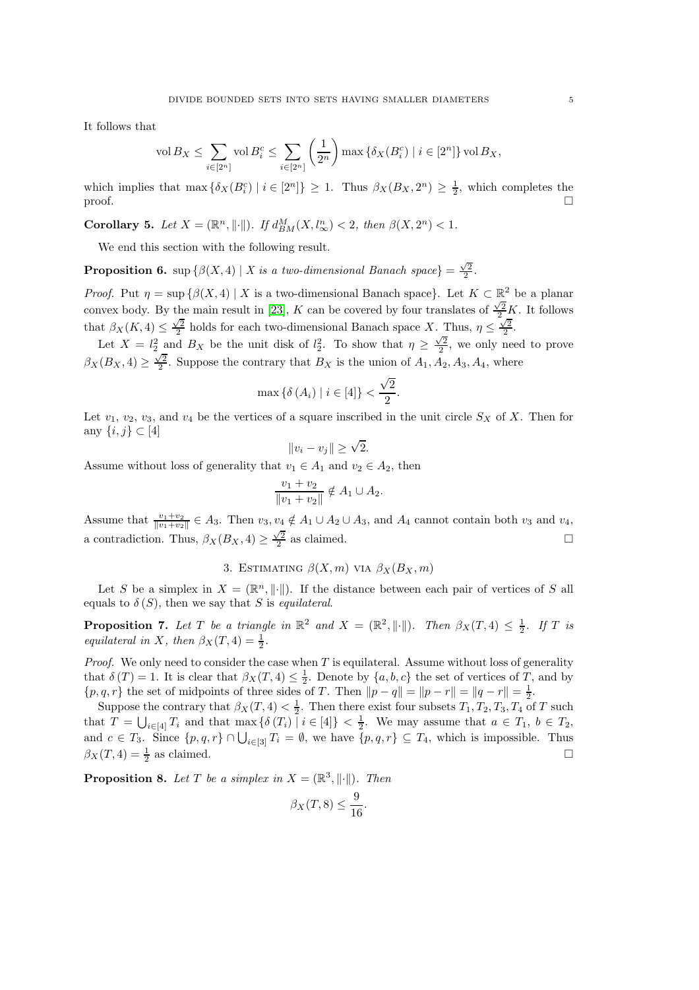It follows that

$$
\operatorname{vol} B_X \le \sum_{i \in [2^n]} \operatorname{vol} B_i^c \le \sum_{i \in [2^n]} \left(\frac{1}{2^n}\right) \max \left\{ \delta_X(B_i^c) \mid i \in [2^n] \right\} \operatorname{vol} B_X,
$$

which implies that  $\max \{\delta_X(B_i^c) | i \in [2^n]\} \geq 1$ . Thus  $\beta_X(B_X, 2^n) \geq \frac{1}{2}$ , which completes the proof.  $\Box$ 

**Corollary 5.** Let  $X = (\mathbb{R}^n, ||\cdot||)$ . If  $d_{BM}^M(X, l_{\infty}^n) < 2$ , then  $\beta(X, 2^n) < 1$ .

We end this section with the following result.

**Proposition 6.** sup  $\{\beta(X, 4) | X \text{ is a two-dimensional Banach space}\} = \frac{\sqrt{2}}{2}$ .

*Proof.* Put  $\eta = \sup \{ \beta(X, 4) \mid X \text{ is a two-dimensional Banach space} \}.$  Let  $K \subset \mathbb{R}^2$  be a planar convex body. By the main result in [\[23\]](#page-10-9), K can be covered by four translates of  $\frac{\sqrt{2}}{2}K$ . It follows that  $\beta_X(K, 4) \leq \frac{\sqrt{2}}{2}$  holds for each two-dimensional Banach space X. Thus,  $\eta \leq \frac{\sqrt{2}}{2}$ .

Let  $X = l_2^2$  and  $B_X$  be the unit disk of  $l_2^2$ . To show that  $\eta \geq \frac{\sqrt{2}}{2}$ , we only need to prove  $\beta_X(B_X, 4) \geq \frac{\sqrt{2}}{2}$ . Suppose the contrary that  $B_X$  is the union of  $A_1, A_2, A_3, A_4$ , where

$$
\max\left\{\delta\left(A_{i}\right) \mid i \in [4]\right\} < \frac{\sqrt{2}}{2}
$$

.

Let  $v_1$ ,  $v_2$ ,  $v_3$ , and  $v_4$  be the vertices of a square inscribed in the unit circle  $S_X$  of X. Then for any  $\{i, j\} \subset [4]$ 

$$
||v_i - v_j|| \ge \sqrt{2}.
$$

Assume without loss of generality that  $v_1 \in A_1$  and  $v_2 \in A_2$ , then

$$
\frac{v_1 + v_2}{\|v_1 + v_2\|} \notin A_1 \cup A_2.
$$

Assume that  $\frac{v_1+v_2}{\|v_1+v_2\|} \in A_3$ . Then  $v_3, v_4 \notin A_1 \cup A_2 \cup A_3$ , and  $A_4$  cannot contain both  $v_3$  and  $v_4$ , a contradiction. Thus,  $\beta_X(B_X, 4) \geq \frac{\sqrt{2}}{2}$  as claimed.

# 3. ESTIMATING  $\beta(X,m)$  via  $\beta_X(B_X,m)$

<span id="page-4-0"></span>Let S be a simplex in  $X = (\mathbb{R}^n, ||\cdot||)$ . If the distance between each pair of vertices of S all equals to  $\delta(S)$ , then we say that S is *equilateral*.

**Proposition 7.** Let T be a triangle in  $\mathbb{R}^2$  and  $X = (\mathbb{R}^2, ||\cdot||)$ . Then  $\beta_X(T, 4) \leq \frac{1}{2}$ . If T is *equilateral in* X, then  $\beta_X(T, 4) = \frac{1}{2}$ .

*Proof.* We only need to consider the case when T is equilateral. Assume without loss of generality that  $\delta(T) = 1$ . It is clear that  $\beta_X(T, 4) \leq \frac{1}{2}$ . Denote by  $\{a, b, c\}$  the set of vertices of T, and by  $\{p, q, r\}$  the set of midpoints of three sides of T. Then  $\|p - q\| = \|p - r\| = \|q - r\| = \frac{1}{2}$ .

Suppose the contrary that  $\beta_X(T, 4) < \frac{1}{2}$ . Then there exist four subsets  $T_1, T_2, T_3, T_4$  of T such that  $T = \bigcup_{i \in [4]} T_i$  and that  $\max \{ \delta(T_i) \mid i \in [4] \} < \frac{1}{2}$ . We may assume that  $a \in T_1$ ,  $b \in T_2$ , and  $c \in T_3$ . Since  $\{p,q,r\} \cap \bigcup_{i \in [3]} T_i = \emptyset$ , we have  $\{p,q,r\} \subseteq T_4$ , which is impossible. Thus  $\beta_X(T, 4) = \frac{1}{2}$  as claimed.

<span id="page-4-1"></span>**Proposition 8.** Let T be a simplex in  $X = (\mathbb{R}^3, ||\cdot||)$ . Then

$$
\beta_X(T,8) \le \frac{9}{16}.
$$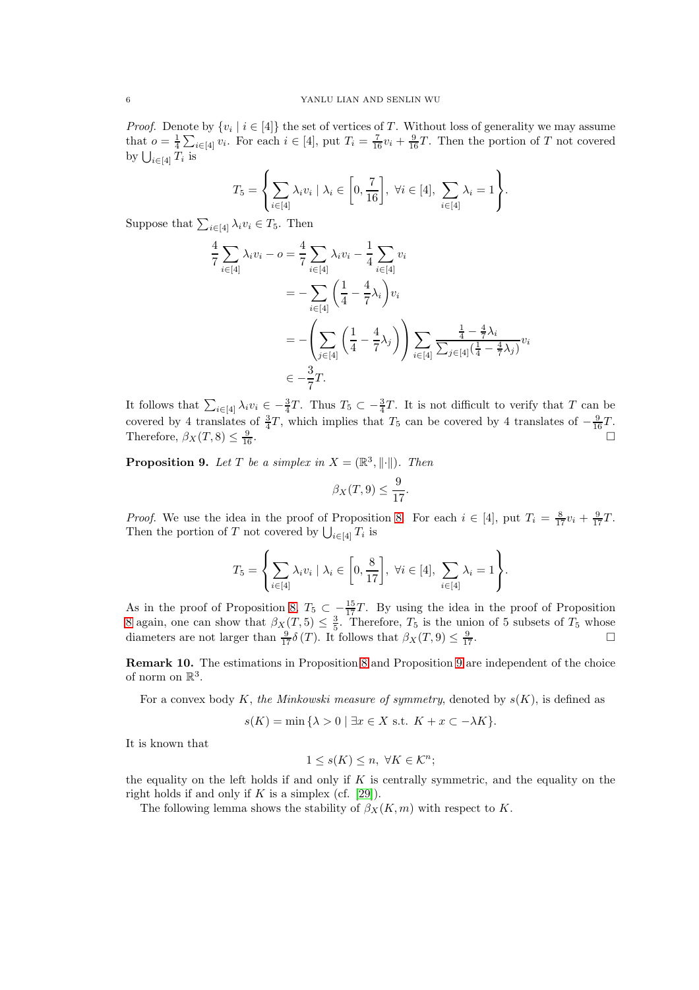*Proof.* Denote by  $\{v_i \mid i \in [4]\}$  the set of vertices of T. Without loss of generality we may assume that  $o = \frac{1}{4} \sum_{i \in [4]} v_i$ . For each  $i \in [4]$ , put  $T_i = \frac{7}{16} v_i + \frac{9}{16} T$ . Then the portion of T not covered by  $\bigcup_{i\in[4]}T_i$  is

$$
T_5 = \left\{ \sum_{i \in [4]} \lambda_i v_i \mid \lambda_i \in \left[0, \frac{7}{16}\right], \ \forall i \in [4], \ \sum_{i \in [4]} \lambda_i = 1 \right\}.
$$

Suppose that  $\sum_{i\in[4]}\lambda_i v_i \in T_5$ . Then

$$
\frac{4}{7} \sum_{i \in [4]} \lambda_i v_i - o = \frac{4}{7} \sum_{i \in [4]} \lambda_i v_i - \frac{1}{4} \sum_{i \in [4]} v_i
$$
\n
$$
= - \sum_{i \in [4]} \left(\frac{1}{4} - \frac{4}{7} \lambda_i\right) v_i
$$
\n
$$
= - \left(\sum_{j \in [4]} \left(\frac{1}{4} - \frac{4}{7} \lambda_j\right)\right) \sum_{i \in [4]} \frac{\frac{1}{4} - \frac{4}{7} \lambda_i}{\sum_{j \in [4]} \left(\frac{1}{4} - \frac{4}{7} \lambda_j\right)} v_i
$$
\n
$$
\in -\frac{3}{7}T.
$$

It follows that  $\sum_{i\in[4]} \lambda_i v_i \in -\frac{3}{4}T$ . Thus  $T_5 \subset -\frac{3}{4}T$ . It is not difficult to verify that T can be covered by 4 translates of  $\frac{3}{4}T$ , which implies that  $T_5$  can be covered by 4 translates of  $-\frac{9}{16}T$ . Therefore,  $\beta_X(T, 8) \leq \frac{9}{16}$  $\frac{9}{16}$ .

<span id="page-5-0"></span>**Proposition 9.** Let T be a simplex in  $X = (\mathbb{R}^3, ||\cdot||)$ . Then

$$
\beta_X(T,9) \le \frac{9}{17}.
$$

*Proof.* We use the idea in the proof of Proposition [8.](#page-4-1) For each  $i \in [4]$ , put  $T_i = \frac{8}{17}v_i + \frac{9}{17}T$ . Then the portion of T not covered by  $\bigcup_{i\in[4]}T_i$  is

$$
T_5 = \left\{ \sum_{i \in [4]} \lambda_i v_i \mid \lambda_i \in \left[0, \frac{8}{17}\right], \ \forall i \in [4], \ \sum_{i \in [4]} \lambda_i = 1 \right\}.
$$

As in the proof of Proposition [8,](#page-4-1)  $T_5 \subset -\frac{15}{17}T$ . By using the idea in the proof of Proposition [8](#page-4-1) again, one can show that  $\beta_X(T,5) \leq \frac{3}{5}$ . Therefore,  $T_5$  is the union of 5 subsets of  $T_5$  whose diameters are not larger than  $\frac{9}{17}\delta(T)$ . It follows that  $\beta_X(T, 9) \leq \frac{9}{11}$  $\frac{9}{17}$ .

Remark 10. The estimations in Proposition [8](#page-4-1) and Proposition [9](#page-5-0) are independent of the choice of norm on  $\mathbb{R}^3$ .

For a convex body K, the Minkowski measure of symmetry, denoted by  $s(K)$ , is defined as

$$
s(K) = \min\{\lambda > 0 \mid \exists x \in X \text{ s.t. } K + x \subset -\lambda K\}.
$$

It is known that

$$
1 \le s(K) \le n, \ \forall K \in \mathcal{K}^n;
$$

the equality on the left holds if and only if  $K$  is centrally symmetric, and the equality on the right holds if and only if  $K$  is a simplex (cf. [\[29\]](#page-10-10)).

The following lemma shows the stability of  $\beta_X(K,m)$  with respect to K.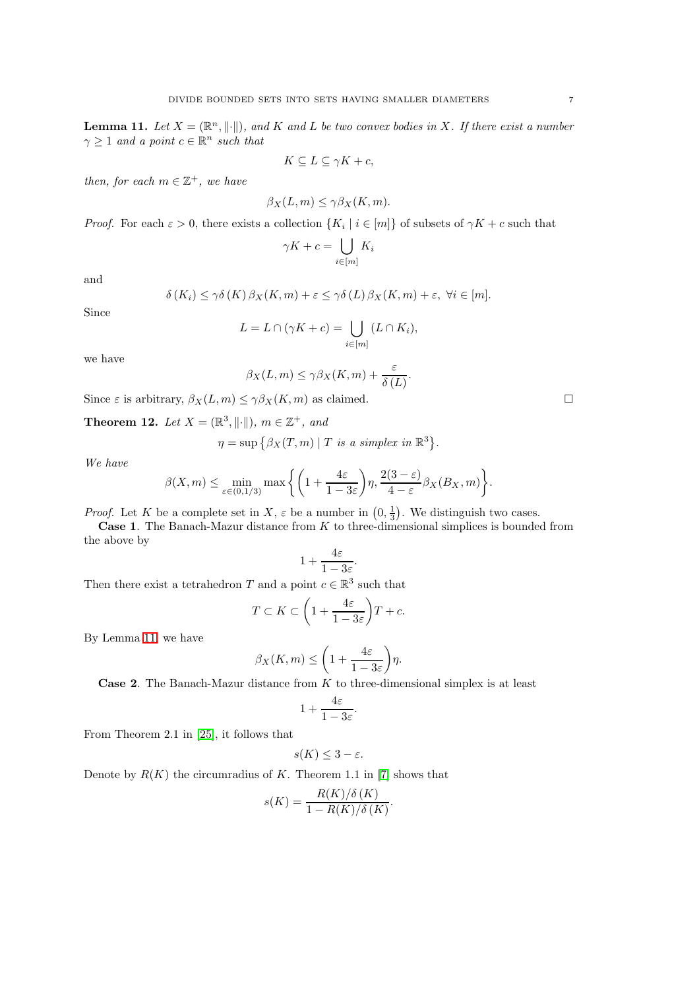<span id="page-6-0"></span>**Lemma 11.** Let  $X = (\mathbb{R}^n, \|\cdot\|)$ , and K and L be two convex bodies in X. If there exist a number  $\gamma \geq 1$  and a point  $c \in \mathbb{R}^n$  such that

 $K \subseteq L \subseteq \gamma K + c$ ,

*then, for each*  $m \in \mathbb{Z}^+$ *, we have* 

$$
\beta_X(L, m) \le \gamma \beta_X(K, m).
$$

*Proof.* For each  $\varepsilon > 0$ , there exists a collection  $\{K_i \mid i \in [m]\}$  of subsets of  $\gamma K + c$  such that

$$
\gamma K + c = \bigcup_{i \in [m]} K_i
$$

and

$$
\delta(K_i) \leq \gamma \delta(K) \beta_X(K, m) + \varepsilon \leq \gamma \delta(L) \beta_X(K, m) + \varepsilon, \ \forall i \in [m].
$$

Since

$$
L = L \cap (\gamma K + c) = \bigcup_{i \in [m]} (L \cap K_i),
$$

we have

$$
\beta_X(L,m) \le \gamma \beta_X(K,m) + \frac{\varepsilon}{\delta(L)}.
$$

Since  $\varepsilon$  is arbitrary,  $\beta_X(L, m) \leq \gamma \beta_X(K, m)$  as claimed.

**Theorem 12.** Let  $X = (\mathbb{R}^3, ||\cdot||)$ ,  $m \in \mathbb{Z}^+$ , and

$$
\eta = \sup \big\{ \beta_X(T, m) \mid T \text{ is a simplex in } \mathbb{R}^3 \big\}.
$$

*We have*

$$
\beta(X,m) \leq \min_{\varepsilon \in (0,1/3)} \max \bigg\{ \bigg( 1 + \frac{4\varepsilon}{1 - 3\varepsilon} \bigg) \eta, \frac{2(3 - \varepsilon)}{4 - \varepsilon} \beta_X(B_X, m) \bigg\}.
$$

*Proof.* Let K be a complete set in X,  $\varepsilon$  be a number in  $(0, \frac{1}{3})$ . We distinguish two cases.

**Case 1.** The Banach-Mazur distance from  $K$  to three-dimensional simplices is bounded from the above by

$$
1+\frac{4\varepsilon}{1-3\varepsilon}.
$$

Then there exist a tetrahedron  $T$  and a point  $c \in \mathbb{R}^3$  such that

$$
T \subset K \subset \left(1 + \frac{4\varepsilon}{1 - 3\varepsilon}\right)T + c.
$$

By Lemma [11,](#page-6-0) we have

$$
\beta_X(K,m) \le \left(1 + \frac{4\varepsilon}{1 - 3\varepsilon}\right)\eta.
$$

**Case 2.** The Banach-Mazur distance from  $K$  to three-dimensional simplex is at least

$$
1+\frac{4\varepsilon}{1-3\varepsilon}.
$$

From Theorem 2.1 in [\[25\]](#page-10-11), it follows that

$$
s(K) \leq 3 - \varepsilon.
$$

Denote by  $R(K)$  the circumradius of K. Theorem 1.1 in [\[7\]](#page-9-18) shows that

$$
s(K) = \frac{R(K)/\delta(K)}{1 - R(K)/\delta(K)}.
$$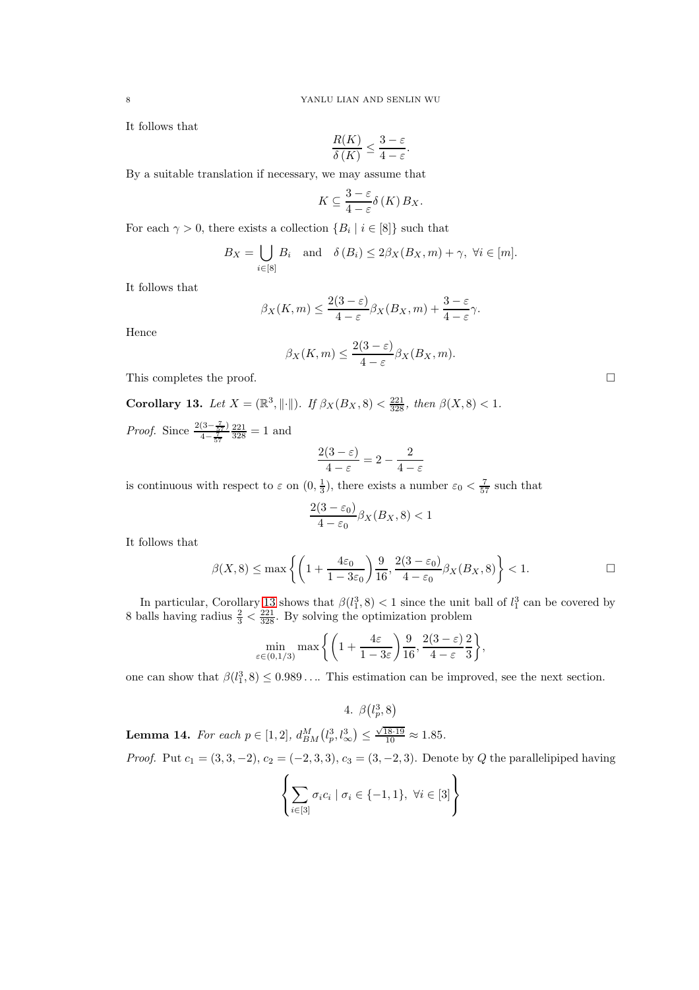It follows that

$$
\frac{R(K)}{\delta(K)} \le \frac{3-\varepsilon}{4-\varepsilon}.
$$

By a suitable translation if necessary, we may assume that

$$
K\subseteq \frac{3-\varepsilon}{4-\varepsilon}\delta(K)B_X.
$$

For each  $\gamma > 0$ , there exists a collection  $\{B_i \mid i \in [8]\}$  such that

$$
B_X = \bigcup_{i \in [8]} B_i
$$
 and  $\delta(B_i) \leq 2\beta_X(B_X, m) + \gamma$ ,  $\forall i \in [m]$ .

It follows that

$$
\beta_X(K,m) \le \frac{2(3-\varepsilon)}{4-\varepsilon} \beta_X(B_X,m) + \frac{3-\varepsilon}{4-\varepsilon} \gamma.
$$

Hence

$$
\beta_X(K,m) \le \frac{2(3-\varepsilon)}{4-\varepsilon} \beta_X(B_X,m).
$$

This completes the proof.  $\hfill \square$ 

<span id="page-7-1"></span>**Corollary 13.** *Let*  $X = (\mathbb{R}^3, ||\cdot||)$ *. If*  $\beta_X(B_X, 8) < \frac{221}{328}$ *, then*  $\beta(X, 8) < 1$ *.* 

*Proof.* Since  $\frac{2(3-\frac{7}{57})}{4-\frac{7}{57}}$  $\frac{221}{328} = 1$  and

$$
\frac{2(3-\varepsilon)}{4-\varepsilon} = 2 - \frac{2}{4-\varepsilon}
$$

is continuous with respect to  $\varepsilon$  on  $(0, \frac{1}{3})$ , there exists a number  $\varepsilon_0 < \frac{7}{57}$  such that

$$
\frac{2(3-\varepsilon_0)}{4-\varepsilon_0}\beta_X(B_X,8)<1
$$

It follows that

$$
\beta(X,8) \le \max\left\{ \left( 1 + \frac{4\varepsilon_0}{1 - 3\varepsilon_0} \right) \frac{9}{16}, \frac{2(3 - \varepsilon_0)}{4 - \varepsilon_0} \beta_X(B_X,8) \right\} < 1.
$$

In particular, Corollary [13](#page-7-1) shows that  $\beta(l_1^3, 8) < 1$  since the unit ball of  $l_1^3$  can be covered by 8 balls having radius  $\frac{2}{3} < \frac{221}{328}$ . By solving the optimization problem

$$
\min_{\varepsilon \in (0,1/3)} \max \left\{ \left( 1 + \frac{4\varepsilon}{1 - 3\varepsilon} \right) \frac{9}{16}, \frac{2(3 - \varepsilon)}{4 - \varepsilon} \frac{2}{3} \right\},\,
$$

<span id="page-7-0"></span>one can show that  $\beta(l_1^3, 8) \leq 0.989...$  This estimation can be improved, see the next section.

4. 
$$
\beta(l_p^3,8)
$$

<span id="page-7-2"></span>**Lemma 14.** For each  $p \in [1, 2]$ ,  $d_{BM}^M(l_p^3, l_\infty^3) \leq$  $\frac{\sqrt{18.19}}{10} \approx 1.85.$ *Proof.* Put  $c_1 = (3, 3, -2), c_2 = (-2, 3, 3), c_3 = (3, -2, 3)$ . Denote by Q the parallelipiped having

$$
\left\{ \sum_{i \in [3]} \sigma_i c_i \mid \sigma_i \in \{-1, 1\}, \ \forall i \in [3] \right\}
$$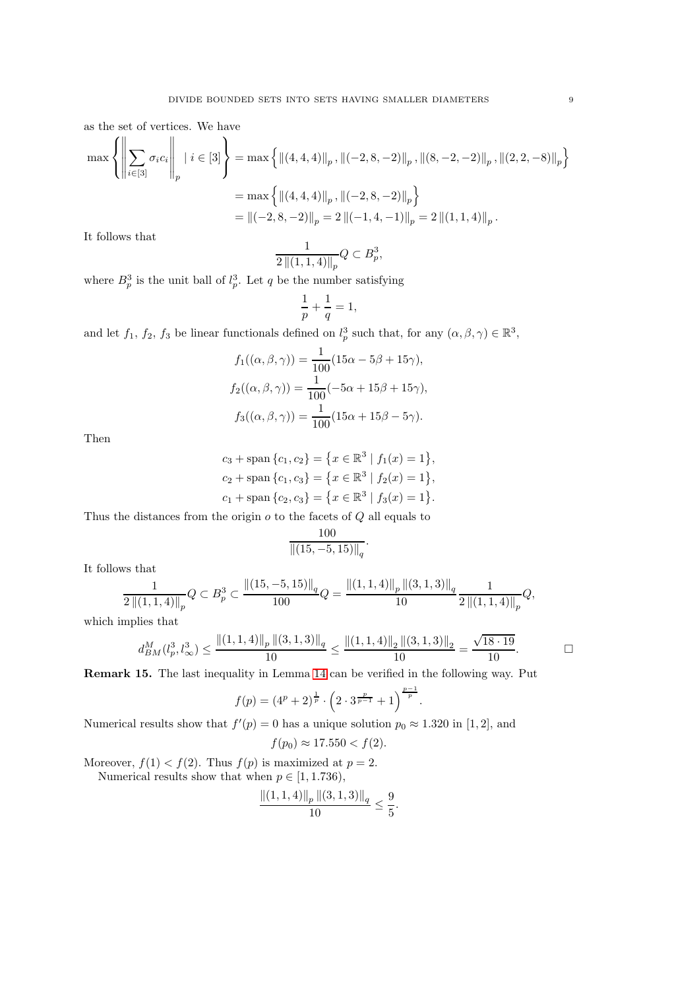as the set of vertices. We have

$$
\max \left\{ \left\| \sum_{i \in [3]} \sigma_i c_i \right\|_p \mid i \in [3] \right\} = \max \left\{ \left\| (4, 4, 4) \right\|_p, \left\| (-2, 8, -2) \right\|_p, \left\| (8, -2, -2) \right\|_p, \left\| (2, 2, -8) \right\|_p \right\}
$$

$$
= \max \left\{ \left\| (4, 4, 4) \right\|_p, \left\| (-2, 8, -2) \right\|_p \right\}
$$

$$
= \left\| (-2, 8, -2) \right\|_p = 2 \left\| (-1, 4, -1) \right\|_p = 2 \left\| (1, 1, 4) \right\|_p.
$$

It follows that

$$
\frac{1}{2\left\|(1,1,4)\right\|_p}Q \subset B_p^3,
$$

where  $B_p^3$  is the unit ball of  $l_p^3$ . Let q be the number satisfying

$$
\frac{1}{p} + \frac{1}{q} = 1,
$$

and let  $f_1, f_2, f_3$  be linear functionals defined on  $l_p^3$  such that, for any  $(\alpha, \beta, \gamma) \in \mathbb{R}^3$ ,

$$
f_1((\alpha, \beta, \gamma)) = \frac{1}{100}(15\alpha - 5\beta + 15\gamma),
$$
  
\n
$$
f_2((\alpha, \beta, \gamma)) = \frac{1}{100}(-5\alpha + 15\beta + 15\gamma),
$$
  
\n
$$
f_3((\alpha, \beta, \gamma)) = \frac{1}{100}(15\alpha + 15\beta - 5\gamma).
$$

Then

$$
c_3 + \text{span}\{c_1, c_2\} = \{x \in \mathbb{R}^3 \mid f_1(x) = 1\},
$$
  
\n
$$
c_2 + \text{span}\{c_1, c_3\} = \{x \in \mathbb{R}^3 \mid f_2(x) = 1\},
$$
  
\n
$$
c_1 + \text{span}\{c_2, c_3\} = \{x \in \mathbb{R}^3 \mid f_3(x) = 1\}.
$$

Thus the distances from the origin  $o$  to the facets of  $Q$  all equals to

$$
\frac{100}{\|(15, -5, 15)\|_q}.
$$

It follows that

$$
\frac{1}{2\left\|(1,1,4)\right\|_p}Q\subset B_p^3\subset \frac{\left\|(15,-5,15)\right\|_q}{100}Q=\frac{\left\|(1,1,4)\right\|_p\left\|(3,1,3)\right\|_q}{10}\frac{1}{2\left\|(1,1,4)\right\|_p}Q,
$$

which implies that

$$
d_{BM}^M(l_p^3,l_\infty^3) \le \frac{\|(1,1,4)\|_p \|(3,1,3)\|_q}{10} \le \frac{\|(1,1,4)\|_2 \|(3,1,3)\|_2}{10} = \frac{\sqrt{18 \cdot 19}}{10}.
$$

.

Remark 15. The last inequality in Lemma [14](#page-7-2) can be verified in the following way. Put

$$
f(p) = (4^p + 2)^{\frac{1}{p}} \cdot \left(2 \cdot 3^{\frac{p}{p-1}} + 1\right)^{\frac{p-1}{p}}
$$

Numerical results show that  $f'(p) = 0$  has a unique solution  $p_0 \approx 1.320$  in [1, 2], and

$$
f(p_0) \approx 17.550 < f(2).
$$

Moreover,  $f(1) < f(2)$ . Thus  $f(p)$  is maximized at  $p = 2$ . Numerical results show that when  $p \in [1, 1.736)$ ,

$$
\frac{\left\|(1,1,4)\right\|_p \left\|(3,1,3)\right\|_q}{10} \le \frac{9}{5}.
$$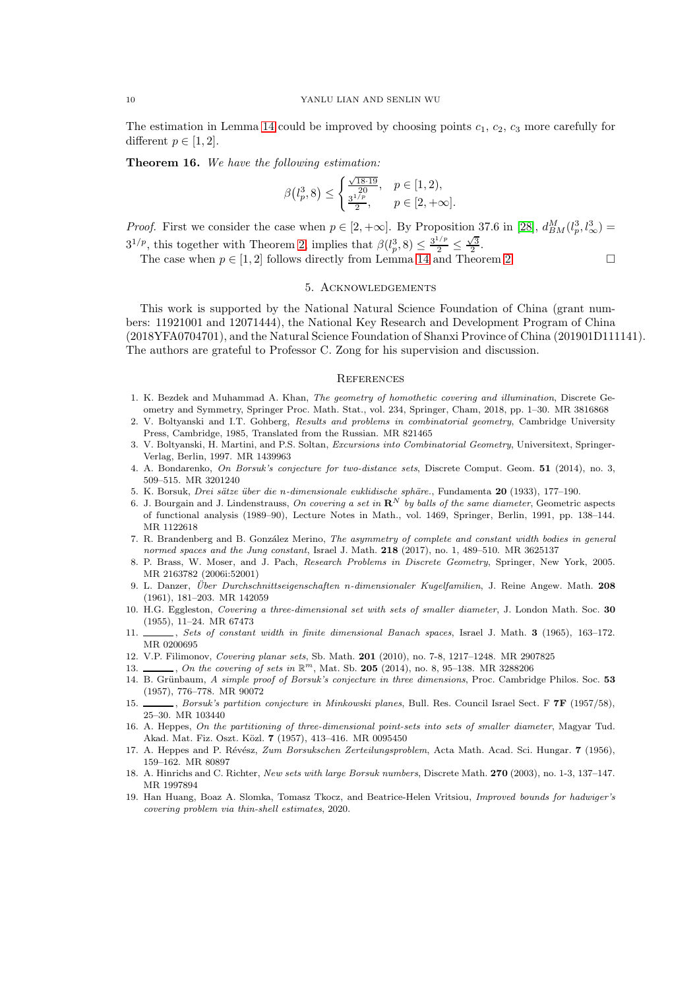The estimation in Lemma [14](#page-7-2) could be improved by choosing points  $c_1$ ,  $c_2$ ,  $c_3$  more carefully for different  $p \in [1, 2]$ .

Theorem 16. *We have the following estimation:*

$$
\beta\left(l_p^3, 8\right) \le \begin{cases} \frac{\sqrt{18 \cdot 19}}{20}, & p \in [1, 2), \\ \frac{3^{1/p}}{2}, & p \in [2, +\infty]. \end{cases}
$$

*Proof.* First we consider the case when  $p \in [2, +\infty]$ . By Proposition 37.6 in [\[28\]](#page-10-12),  $d_{BM}^M(l_p^3, l_\infty^3)$  =  $3^{1/p}$ , this together with Theorem [2,](#page-2-1) implies that  $\beta(l_p^3, 8) \leq \frac{3^{1/p}}{2} \leq$  $\frac{\sqrt{3}}{2}$ .

The case when  $p \in [1, 2]$  follows directly from Lemma [14](#page-7-2) and Theorem [2.](#page-2-1)

## 5. Acknowledgements

This work is supported by the National Natural Science Foundation of China (grant numbers: 11921001 and 12071444), the National Key Research and Development Program of China (2018YFA0704701), and the Natural Science Foundation of Shanxi Province of China (201901D111141). The authors are grateful to Professor C. Zong for his supervision and discussion.

#### **REFERENCES**

- <span id="page-9-14"></span>1. K. Bezdek and Muhammad A. Khan, The geometry of homothetic covering and illumination, Discrete Geometry and Symmetry, Springer Proc. Math. Stat., vol. 234, Springer, Cham, 2018, pp. 1–30. MR 3816868
- <span id="page-9-15"></span>2. V. Boltyanski and I.T. Gohberg, Results and problems in combinatorial geometry, Cambridge University Press, Cambridge, 1985, Translated from the Russian. MR 821465
- <span id="page-9-12"></span>3. V. Boltyanski, H. Martini, and P.S. Soltan, Excursions into Combinatorial Geometry, Universitext, Springer-Verlag, Berlin, 1997. MR 1439963
- <span id="page-9-6"></span><span id="page-9-0"></span>4. A. Bondarenko, On Borsuk's conjecture for two-distance sets, Discrete Comput. Geom. 51 (2014), no. 3, 509–515. MR 3201240
- <span id="page-9-8"></span>5. K. Borsuk, *Drei sätze über die n-dimensionale euklidische sphäre.*, Fundamenta 20 (1933), 177–190.
- 6. J. Bourgain and J. Lindenstrauss, On covering a set in  $\mathbb{R}^N$  by balls of the same diameter, Geometric aspects of functional analysis (1989–90), Lecture Notes in Math., vol. 1469, Springer, Berlin, 1991, pp. 138–144. MR 1122618
- <span id="page-9-18"></span>7. R. Brandenberg and B. González Merino, The asymmetry of complete and constant width bodies in general normed spaces and the Jung constant, Israel J. Math. 218 (2017), no. 1, 489–510. MR 3625137
- <span id="page-9-13"></span>8. P. Brass, W. Moser, and J. Pach, Research Problems in Discrete Geometry, Springer, New York, 2005. MR 2163782 (2006i:52001)
- <span id="page-9-7"></span>9. L. Danzer, Über Durchschnittseigenschaften n-dimensionaler Kugelfamilien, J. Reine Angew. Math. 208 (1961), 181–203. MR 142059
- <span id="page-9-1"></span>10. H.G. Eggleston, Covering a three-dimensional set with sets of smaller diameter, J. London Math. Soc. 30 (1955), 11–24. MR 67473
- <span id="page-9-17"></span>11. , Sets of constant width in finite dimensional Banach spaces, Israel J. Math. 3 (1965), 163-172. MR 0200695
- <span id="page-9-10"></span><span id="page-9-9"></span>12. V.P. Filimonov, Covering planar sets, Sb. Math. 201 (2010), no. 7-8, 1217–1248. MR 2907825
- <span id="page-9-2"></span>13.  $\_\_\_\_\_$ , On the covering of sets in  $\mathbb{R}^m$ , Mat. Sb. 205 (2014), no. 8, 95–138. MR 3288206
- 14. B. Grünbaum, A simple proof of Borsuk's conjecture in three dimensions, Proc. Cambridge Philos. Soc. 53 (1957), 776–778. MR 90072
- <span id="page-9-11"></span>15. , Borsuk's partition conjecture in Minkowski planes, Bull. Res. Council Israel Sect. F **7F** (1957/58), 25–30. MR 103440
- <span id="page-9-4"></span>16. A. Heppes, On the partitioning of three-dimensional point-sets into sets of smaller diameter, Magyar Tud. Akad. Mat. Fiz. Oszt. Közl. 7 (1957), 413-416. MR 0095450
- <span id="page-9-3"></span>17. A. Heppes and P. Révész, Zum Borsukschen Zerteilungsproblem, Acta Math. Acad. Sci. Hungar. 7 (1956), 159–162. MR 80897
- <span id="page-9-5"></span>18. A. Hinrichs and C. Richter, New sets with large Borsuk numbers, Discrete Math. 270 (2003), no. 1-3, 137–147. MR 1997894
- <span id="page-9-16"></span>19. Han Huang, Boaz A. Slomka, Tomasz Tkocz, and Beatrice-Helen Vritsiou, Improved bounds for hadwiger's covering problem via thin-shell estimates, 2020.